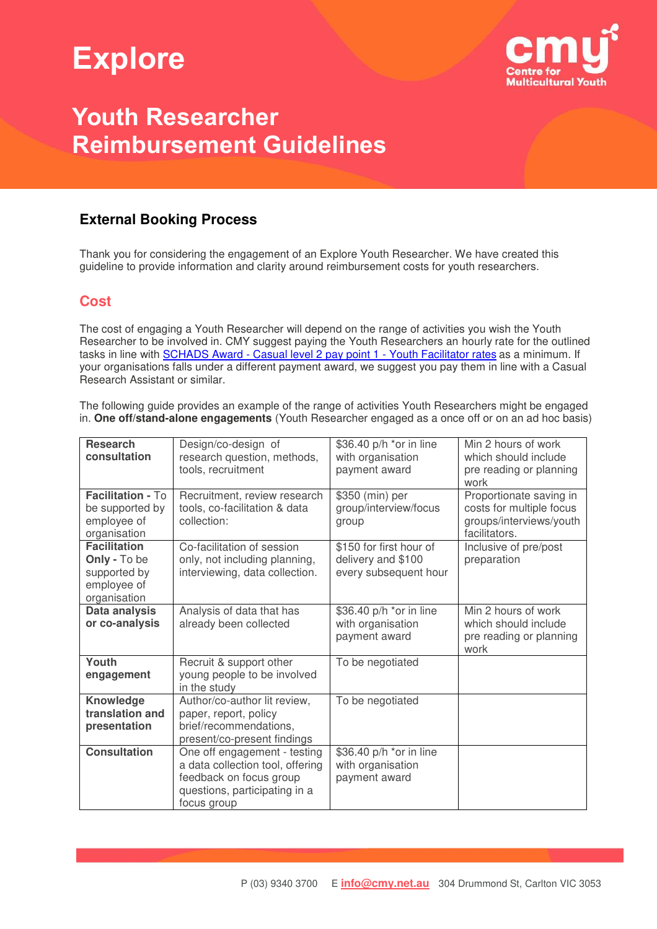# **Explore**



## **Youth Researcher Reimbursement Guidelines**

### **External Booking Process**

Thank you for considering the engagement of an Explore Youth Researcher. We have created this guideline to provide information and clarity around reimbursement costs for youth researchers.

### **Cost**

The cost of engaging a Youth Researcher will depend on the range of activities you wish the Youth Researcher to be involved in. CMY suggest paying the Youth Researchers an hourly rate for the outlined tasks in line with **SCHADS Award - Casual level 2 pay point 1 - Youth Facilitator rates** as a minimum. If your organisations falls under a different payment award, we suggest you pay them in line with a Casual Research Assistant or similar.

The following guide provides an example of the range of activities Youth Researchers might be engaged in. **One off/stand-alone engagements** (Youth Researcher engaged as a once off or on an ad hoc basis)

| <b>Research</b><br>consultation<br>Facilitation - To                               | Design/co-design of<br>research question, methods,<br>tools, recruitment                                                                    | \$36.40 p/h *or in line<br>with organisation<br>payment award          | Min 2 hours of work<br>which should include<br>pre reading or planning<br>work                  |
|------------------------------------------------------------------------------------|---------------------------------------------------------------------------------------------------------------------------------------------|------------------------------------------------------------------------|-------------------------------------------------------------------------------------------------|
| be supported by<br>employee of<br>organisation                                     | Recruitment, review research<br>tools, co-facilitation & data<br>collection:                                                                | \$350 (min) per<br>group/interview/focus<br>group                      | Proportionate saving in<br>costs for multiple focus<br>groups/interviews/youth<br>facilitators. |
| <b>Facilitation</b><br>Only - To be<br>supported by<br>employee of<br>organisation | Co-facilitation of session<br>only, not including planning,<br>interviewing, data collection.                                               | \$150 for first hour of<br>delivery and \$100<br>every subsequent hour | Inclusive of pre/post<br>preparation                                                            |
| Data analysis<br>or co-analysis                                                    | Analysis of data that has<br>already been collected                                                                                         | \$36.40 p/h *or in line<br>with organisation<br>payment award          | Min 2 hours of work<br>which should include<br>pre reading or planning<br>work                  |
| Youth<br>engagement                                                                | Recruit & support other<br>young people to be involved<br>in the study                                                                      | To be negotiated                                                       |                                                                                                 |
| Knowledge<br>translation and<br>presentation                                       | Author/co-author lit review,<br>paper, report, policy<br>brief/recommendations,<br>present/co-present findings                              | To be negotiated                                                       |                                                                                                 |
| <b>Consultation</b>                                                                | One off engagement - testing<br>a data collection tool, offering<br>feedback on focus group<br>questions, participating in a<br>focus group | \$36.40 p/h *or in line<br>with organisation<br>payment award          |                                                                                                 |